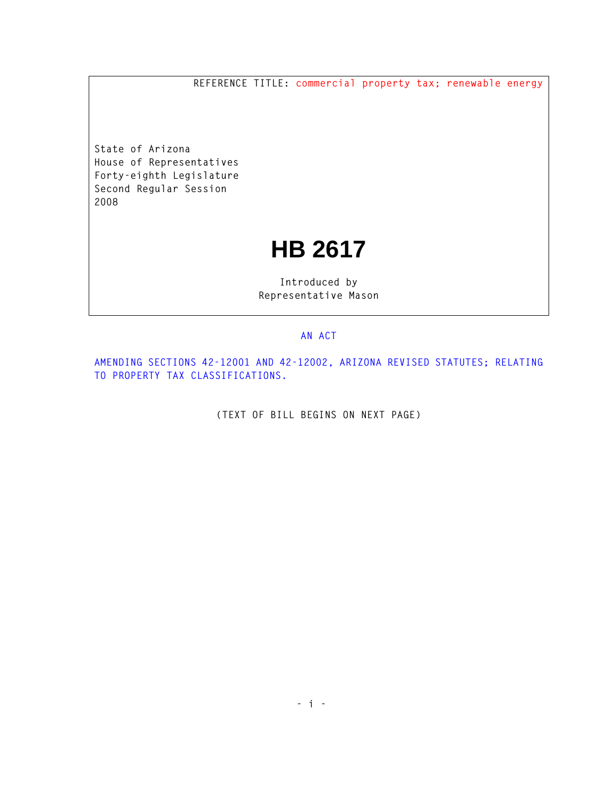**REFERENCE TITLE: commercial property tax; renewable energy**

**State of Arizona House of Representatives Forty-eighth Legislature Second Regular Session 2008** 

## **HB 2617**

**Introduced by Representative Mason** 

## **AN ACT**

**AMENDING SECTIONS 42-12001 AND 42-12002, ARIZONA REVISED STATUTES; RELATING TO PROPERTY TAX CLASSIFICATIONS.** 

**(TEXT OF BILL BEGINS ON NEXT PAGE)**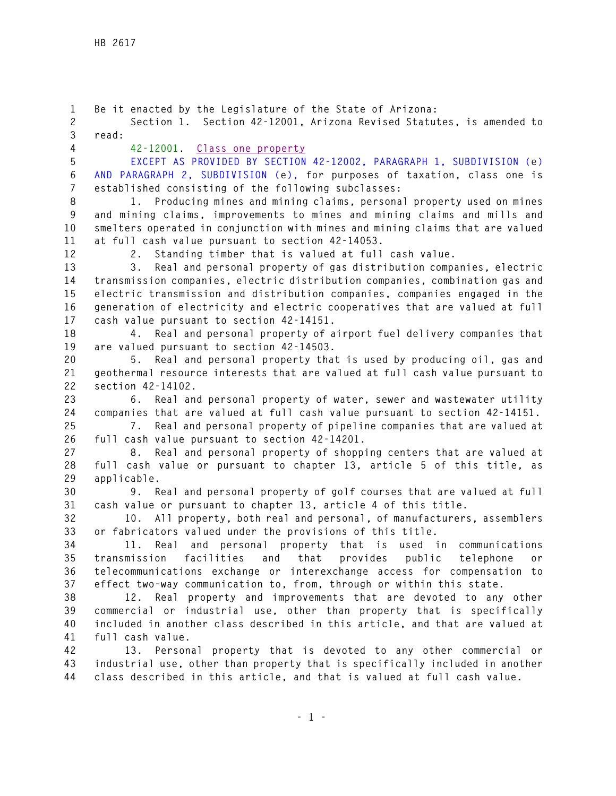**1 Be it enacted by the Legislature of the State of Arizona: 2 Section 1. Section 42-12001, Arizona Revised Statutes, is amended to 3 read: 4 42-12001. Class one property 5 EXCEPT AS PROVIDED BY SECTION 42-12002, PARAGRAPH 1, SUBDIVISION (e) 6 AND PARAGRAPH 2, SUBDIVISION (e), for purposes of taxation, class one is 7 established consisting of the following subclasses: 8 1. Producing mines and mining claims, personal property used on mines 9 and mining claims, improvements to mines and mining claims and mills and 10 smelters operated in conjunction with mines and mining claims that are valued 11 at full cash value pursuant to section 42-14053. 12 2. Standing timber that is valued at full cash value. 13 3. Real and personal property of gas distribution companies, electric 14 transmission companies, electric distribution companies, combination gas and 15 electric transmission and distribution companies, companies engaged in the 16 generation of electricity and electric cooperatives that are valued at full 17 cash value pursuant to section 42-14151. 18 4. Real and personal property of airport fuel delivery companies that 19 are valued pursuant to section 42-14503. 20 5. Real and personal property that is used by producing oil, gas and 21 geothermal resource interests that are valued at full cash value pursuant to 22 section 42-14102. 23 6. Real and personal property of water, sewer and wastewater utility 24 companies that are valued at full cash value pursuant to section 42-14151. 25 7. Real and personal property of pipeline companies that are valued at 26 full cash value pursuant to section 42-14201. 27 8. Real and personal property of shopping centers that are valued at 28 full cash value or pursuant to chapter 13, article 5 of this title, as 29 applicable. 30 9. Real and personal property of golf courses that are valued at full 31 cash value or pursuant to chapter 13, article 4 of this title. 32 10. All property, both real and personal, of manufacturers, assemblers 33 or fabricators valued under the provisions of this title. 34 11. Real and personal property that is used in communications 35 transmission facilities and that provides public telephone or 36 telecommunications exchange or interexchange access for compensation to 37 effect two-way communication to, from, through or within this state. 38 12. Real property and improvements that are devoted to any other 39 commercial or industrial use, other than property that is specifically 40 included in another class described in this article, and that are valued at 41 full cash value. 42 13. Personal property that is devoted to any other commercial or 43 industrial use, other than property that is specifically included in another 44 class described in this article, and that is valued at full cash value.**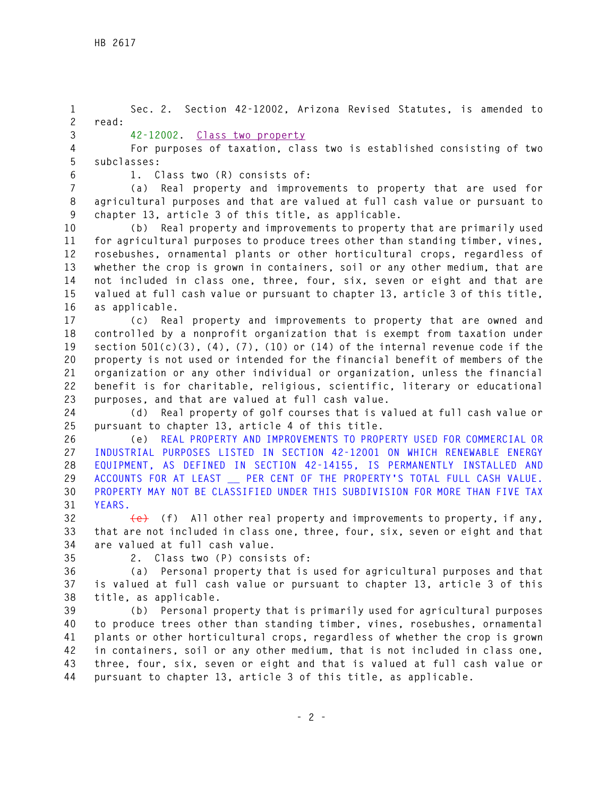**1 Sec. 2. Section 42-12002, Arizona Revised Statutes, is amended to 2 read: 3 42-12002. Class two property 4 For purposes of taxation, class two is established consisting of two 5 subclasses: 6 1. Class two (R) consists of: 7 (a) Real property and improvements to property that are used for 8 agricultural purposes and that are valued at full cash value or pursuant to 9 chapter 13, article 3 of this title, as applicable. 10 (b) Real property and improvements to property that are primarily used 11 for agricultural purposes to produce trees other than standing timber, vines, 12 rosebushes, ornamental plants or other horticultural crops, regardless of 13 whether the crop is grown in containers, soil or any other medium, that are 14 not included in class one, three, four, six, seven or eight and that are 15 valued at full cash value or pursuant to chapter 13, article 3 of this title, 16 as applicable. 17 (c) Real property and improvements to property that are owned and 18 controlled by a nonprofit organization that is exempt from taxation under 19 section 501(c)(3), (4), (7), (10) or (14) of the internal revenue code if the 20 property is not used or intended for the financial benefit of members of the 21 organization or any other individual or organization, unless the financial 22 benefit is for charitable, religious, scientific, literary or educational 23 purposes, and that are valued at full cash value. 24 (d) Real property of golf courses that is valued at full cash value or 25 pursuant to chapter 13, article 4 of this title. 26 (e) REAL PROPERTY AND IMPROVEMENTS TO PROPERTY USED FOR COMMERCIAL OR 27 INDUSTRIAL PURPOSES LISTED IN SECTION 42-12001 ON WHICH RENEWABLE ENERGY 28 EQUIPMENT, AS DEFINED IN SECTION 42-14155, IS PERMANENTLY INSTALLED AND 29 ACCOUNTS FOR AT LEAST \_\_ PER CENT OF THE PROPERTY'S TOTAL FULL CASH VALUE. 30 PROPERTY MAY NOT BE CLASSIFIED UNDER THIS SUBDIVISION FOR MORE THAN FIVE TAX 31 YEARS. 32 (e) (f) All other real property and improvements to property, if any, 33 that are not included in class one, three, four, six, seven or eight and that 34 are valued at full cash value. 35 2. Class two (P) consists of: 36 (a) Personal property that is used for agricultural purposes and that 37 is valued at full cash value or pursuant to chapter 13, article 3 of this 38 title, as applicable. 39 (b) Personal property that is primarily used for agricultural purposes 40 to produce trees other than standing timber, vines, rosebushes, ornamental 41 plants or other horticultural crops, regardless of whether the crop is grown 42 in containers, soil or any other medium, that is not included in class one, 43 three, four, six, seven or eight and that is valued at full cash value or** 

**44 pursuant to chapter 13, article 3 of this title, as applicable.**